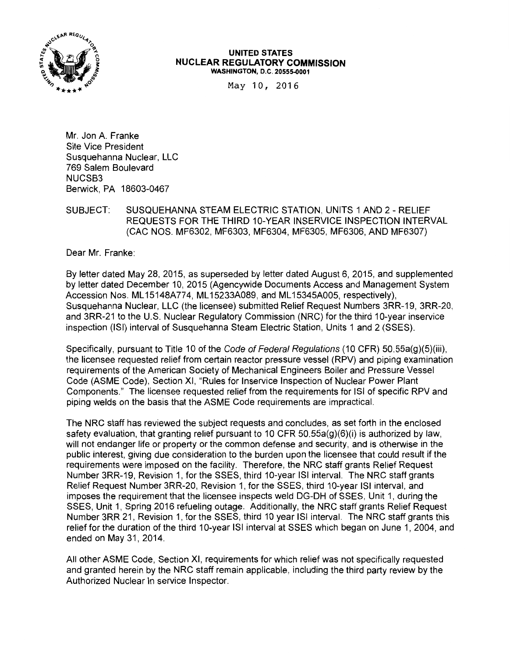

#### **UNITED STATES NUCLEAR REGULATORY COMMISSION**  WASHINGTON, D.C. 20555-0001

May 10, 2016

Mr. Jon A. Franke Site Vice President Susquehanna Nuclear, LLC 769 Salem Boulevard NUCSB3 Berwick, PA 18603-0467

## SUBJECT: SUSQUEHANNA STEAM ELECTRIC STATION, UNITS 1 AND 2 - RELIEF REQUESTS FOR THE THIRD 10-YEAR INSERVICE INSPECTION INTERVAL (CAC NOS. MF6302, MF6303, MF6304, MF6305, MF6306, AND MF6307)

Dear Mr. Franke:

By letter dated May 28, 2015, as superseded by letter dated August 6, 2015, and supplemented by letter dated December 10, 2015 (Agencywide Documents Access and Management System Accession Nos. ML 15148A774, ML 15233A089, and ML 15345A005, respectively), Susquehanna Nuclear, LLC (the licensee) submitted Relief Request Numbers 3RR-19, 3RR-20, and 3RR-21 to the U.S. Nuclear Regulatory Commission (NRC) for the third 10-year inservice inspection (ISi) interval of Susquehanna Steam Electric Station, Units 1 and 2 (SSES).

Specifically, pursuant to Title 10 of the Code of Federal Regulations (10 CFR) 50.55a(q)(5)(iii), the licensee requested relief from certain reactor pressure vessel (RPV) and piping examination requirements of the American Society of Mechanical Engineers Boiler and Pressure Vessel Code (ASME Code), Section XI, "Rules for lnservice Inspection of Nuclear Power Plant Components." The licensee requested relief from the requirements for ISi of specific RPV and piping welds on the basis that the ASME Code requirements are impractical.

The NRC staff has reviewed the subject requests and concludes, as set forth in the enclosed safety evaluation, that granting relief pursuant to 10 CFR 50.55a(g)(6)(i) is authorized by law, will not endanger life or property or the common defense and security, and is otherwise in the public interest, giving due consideration to the burden upon the licensee that could result if the requirements were imposed on the facility. Therefore, the NRC staff grants Relief Request Number 3RR-19, Revision 1, for the SSES, third 10-year ISi interval. The NRC staff grants Relief Request Number 3RR-20, Revision 1, for the SSES, third 10-year ISi interval, and imposes the requirement that the licensee inspects weld DG-DH of SSES, Unit 1, during the SSES, Unit 1, Spring 2016 refueling outage. Additionally, the NRC staff grants Relief Request Number 3RR 21, Revision 1, for the SSES, third 10 year ISI interval. The NRC staff grants this relief for the duration of the third 10-year ISi interval at SSES which began on June 1, 2004, and ended on May 31, 2014.

All other ASME Code, Section XI, requirements for which relief was not specifically requested and granted herein by the NRC staff remain applicable, including the third party review by the Authorized Nuclear In service Inspector.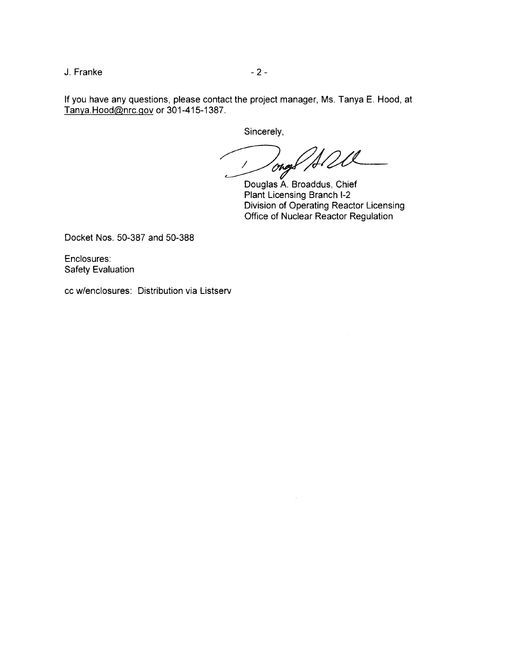J. Franke - 2 -

If you have any questions, please contact the project manager, Ms. Tanya E. Hood, at Tanya.Hood@nrc.gov or 301-415-1387.

Sincerely,

Sincerely,<br>
Oney All Cl

Plant Licensing Branch 1-2 Division of Operating Reactor Licensing Office of Nuclear Reactor Regulation

Docket Nos. 50-387 and 50-388

Enclosures: Safety Evaluation

cc w/enclosures: Distribution via Listserv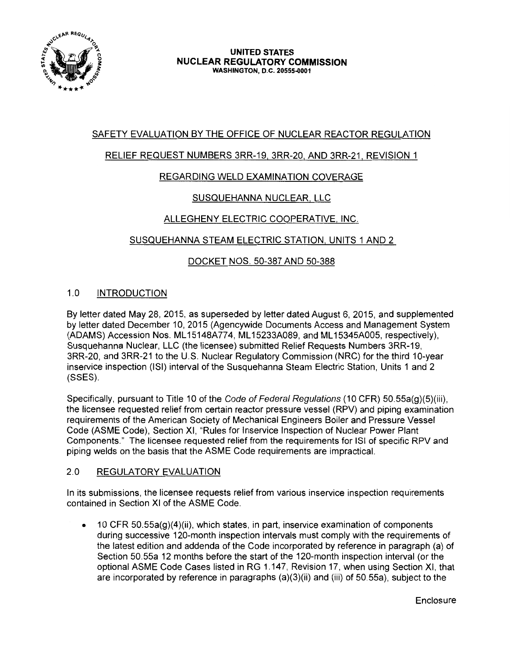

# SAFETY EVALUATION BY THE OFFICE OF NUCLEAR REACTOR REGULATION

# RELIEF REQUEST NUMBERS 3RR-19, 3RR-20, AND 3RR-21, REVISION 1

## REGARDING WELD EXAMINATION COVERAGE

# SUSQUEHANNA NUCLEAR, LLC

## ALLEGHENY ELECTRIC COOPERATIVE, INC.

## SUSQUEHANNA STEAM ELECTRIC STATION, UNITS 1 AND 2

## DOCKET NOS. 50-387 AND 50-388

## 1.0 INTRODUCTION

By letter dated May 28, 2015, as superseded by letter dated August 6, 2015, and supplemented by letter dated December 10, 2015 (Agencywide Documents Access and Management System (ADAMS) Accession Nos. ML 15148A774, ML 15233A089, and ML 15345A005, respectively), Susquehanna Nuclear, LLC (the licensee) submitted Relief Requests Numbers 3RR-19, 3RR-20, and 3RR-21 to the U.S. Nuclear Regulatory Commission (NRC) for the third 10-year inservice inspection (ISi) interval of the Susquehanna Steam Electric Station, Units 1 and 2 (SSES).

Specifically, pursuant to Title 10 of the Code of Federal Regulations (10 CFR) 50.55a(g)(5)(iii), the licensee requested relief from certain reactor pressure vessel (RPV) and piping examination requirements of the American Society of Mechanical Engineers Boiler and Pressure Vessel Code (ASME Code), Section XI, "Rules for lnservice Inspection of Nuclear Power Plant Components." The licensee requested relief from the requirements for ISi of specific RPV and piping welds on the basis that the ASME Code requirements are impractical.

## 2.0 REGULATORY EVALUATION

In its submissions, the licensee requests relief from various inservice inspection requirements contained in Section XI of the ASME Code.

• 10 CFR 50.55a(g)(4)(ii), which states, in part, inservice examination of components during successive 120-month inspection intervals must comply with the requirements of the latest edition and addenda of the Code incorporated by reference in paragraph (a) of Section 50.55a 12 months before the start of the 120-month inspection interval (or the optional ASME Code Cases listed in RG 1.147, Revision 17, when using Section XI, that are incorporated by reference in paragraphs (a)(3)(ii) and (iii) of 50.55a), subject to the

**Enclosure**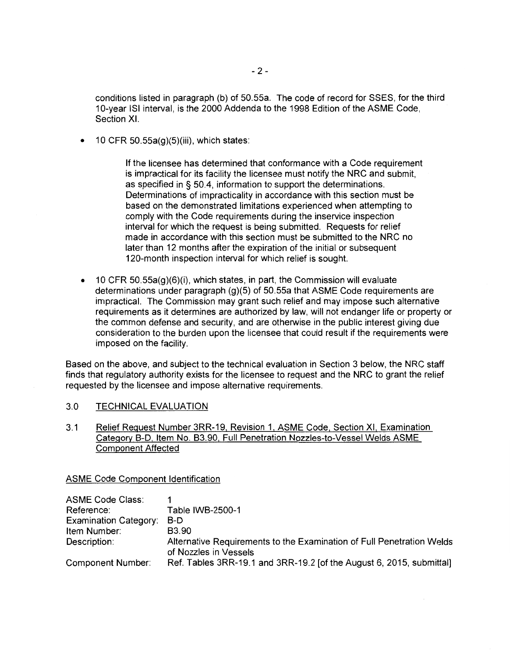conditions listed in paragraph (b) of 50.55a. The code of record for SSES, for the third 10-year ISi interval, is the 2000 Addenda to the 1998 Edition of the ASME Code, Section XI.

• 10 CFR 50.55a(g)(5)(iii), which states:

If the licensee has determined that conformance with a Code requirement is impractical for its facility the licensee must notify the NRC and submit, as specified in § 50.4, information to support the determinations. Determinations of impracticality in accordance with this section must be based on the demonstrated limitations experienced when attempting to comply with the Code requirements during the inservice inspection interval for which the request is being submitted. Requests for relief made in accordance with this section must be submitted to the NRC no later than 12 months after the expiration of the initial or subsequent 120-month inspection interval for which relief is sought.

• 10 CFR 50.55a(g)(6)(i), which states, in part, the Commission will evaluate determinations under paragraph (g)(5) of 50.55a that ASME Code requirements are impractical. The Commission may grant such relief and may impose such alternative requirements as it determines are authorized by law, will not endanger life or property or the common defense and security, and are otherwise in the public interest giving due consideration to the burden upon the licensee that could result if the requirements were imposed on the facility.

Based on the above, and subject to the technical evaluation in Section 3 below, the NRC staff finds that regulatory authority exists for the licensee to request and the NRC to grant the relief requested by the licensee and impose alternative requirements.

#### 3.0 TECHNICAL EVALUATION

3.1 Relief Request Number 3RR-19, Revision 1, ASME Code, Section XI, Examination Category B-D, Item No. 83.90, Full Penetration Nozzles-to-Vessel Welds ASME Component Affected

ASME Code Component Identification

| <b>ASME Code Class:</b>      |                                                                                                |
|------------------------------|------------------------------------------------------------------------------------------------|
| Reference:                   | Table IWB-2500-1                                                                               |
| <b>Examination Category:</b> | B-D                                                                                            |
| Item Number:                 | B <sub>3.90</sub>                                                                              |
| Description:                 | Alternative Requirements to the Examination of Full Penetration Welds<br>of Nozzles in Vessels |
| Component Number:            | Ref. Tables 3RR-19.1 and 3RR-19.2 [of the August 6, 2015, submittal]                           |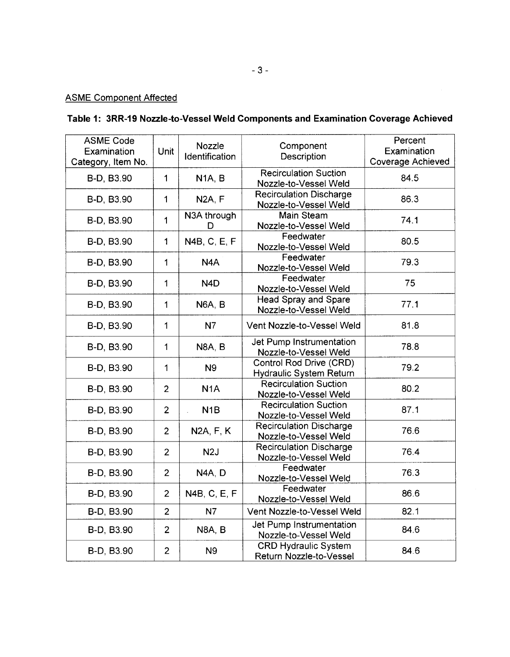# ASME Component Affected

# **Table 1: 3RR-19 Nozzle-to-Vessel Weld Components and Examination Coverage Achieved**

| <b>ASME Code</b><br>Examination<br>Category, Item No. | Unit           | Nozzle<br>Identification                                        | Component<br>Description                                | Percent<br>Examination<br><b>Coverage Achieved</b> |
|-------------------------------------------------------|----------------|-----------------------------------------------------------------|---------------------------------------------------------|----------------------------------------------------|
| B-D, B3.90                                            | $\mathbf{1}$   | N <sub>1</sub> A, B                                             | <b>Recirculation Suction</b><br>Nozzle-to-Vessel Weld   | 84.5                                               |
| B-D, B3.90                                            | $\mathbf{1}$   | N <sub>2</sub> A, F                                             | <b>Recirculation Discharge</b><br>Nozzle-to-Vessel Weld | 86.3                                               |
| B-D, B3.90                                            | 1              | N3A through<br>D                                                | <b>Main Steam</b><br>Nozzle-to-Vessel Weld              | 74.1                                               |
| B-D, B3.90                                            | $\mathbf{1}$   | N4B, C, E, F                                                    | Feedwater<br>Nozzle-to-Vessel Weld                      | 80.5                                               |
| B-D, B3.90                                            | $\mathbf{1}$   | N <sub>4</sub> A                                                | Feedwater<br>Nozzle-to-Vessel Weld                      | 79.3                                               |
| B-D, B3.90                                            | $\mathbf{1}$   | N <sub>4</sub> D                                                | Feedwater<br>Nozzle-to-Vessel Weld                      | 75                                                 |
| B-D, B3.90                                            | $\mathbf{1}$   | N6A, B                                                          | Head Spray and Spare<br>Nozzle-to-Vessel Weld           | 77.1                                               |
| B-D, B3.90                                            | 1              | N7                                                              | Vent Nozzle-to-Vessel Weld                              | 81.8                                               |
| B-D, B3.90                                            | $\mathbf 1$    | N8A, B                                                          | Jet Pump Instrumentation<br>Nozzle-to-Vessel Weld       | 78.8                                               |
| B-D, B3.90                                            | 1              | Control Rod Drive (CRD)<br><b>N9</b><br>Hydraulic System Return |                                                         | 79.2                                               |
| B-D, B3.90                                            | $\overline{2}$ | N <sub>1</sub> A                                                | <b>Recirculation Suction</b><br>Nozzle-to-Vessel Weld   |                                                    |
| B-D, B3.90                                            | $\overline{2}$ | N <sub>1</sub> B                                                | <b>Recirculation Suction</b><br>Nozzle-to-Vessel Weld   | 87.1                                               |
| B-D, B3.90                                            | $\overline{2}$ | N2A, F, K                                                       | <b>Recirculation Discharge</b><br>Nozzle-to-Vessel Weld | 76.6                                               |
| B-D, B3.90                                            | $\overline{2}$ | N2J                                                             | <b>Recirculation Discharge</b><br>Nozzle-to-Vessel Weld | 76.4                                               |
| B-D, B3.90                                            | $\overline{2}$ | N4A, D                                                          | Feedwater<br>Nozzle-to-Vessel Weld                      | 76.3                                               |
| B-D, B3.90                                            | $\overline{2}$ | N4B, C, E, F                                                    | Feedwater<br>Nozzle-to-Vessel Weld                      | 86.6                                               |
| B-D, B3.90                                            | $\overline{2}$ | <b>N7</b>                                                       | Vent Nozzle-to-Vessel Weld                              | 82.1                                               |
| B-D, B3.90                                            | $\overline{2}$ | <b>N8A, B</b>                                                   | Jet Pump Instrumentation<br>Nozzle-to-Vessel Weld       | 84.6                                               |
| B-D, B3.90                                            | $\overline{2}$ | N <sub>9</sub>                                                  | <b>CRD Hydraulic System</b><br>Return Nozzle-to-Vessel  | 84.6                                               |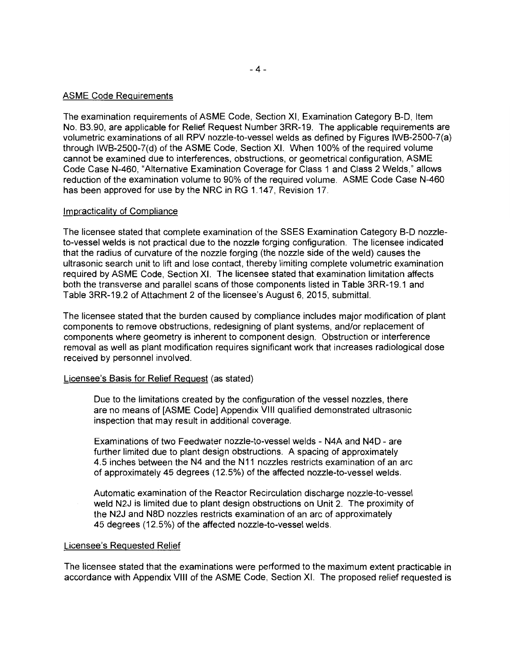### ASME Code Requirements

The examination requirements of ASME Code, Section XI, Examination Category B-D, Item No. 83.90, are applicable for Relief Request Number 3RR-19. The applicable requirements are volumetric examinations of all RPV nozzle-to-vessel welds as defined by Figures IWB-2500-7(a) through IWB-2500-7(d) of the ASME Code, Section XI. When 100% of the required volume cannot be examined due to interferences, obstructions, or geometrical configuration, ASME Code Case N-460, "Alternative Examination Coverage for Class 1 and Class 2 Welds," allows reduction of the examination volume to 90% of the required volume. ASME Code Case N-460 has been approved for use by the NRC in RG 1.147, Revision 17.

#### Impracticality of Compliance

The licensee stated that complete examination of the SSES Examination Category B-D nozzleto-vessel welds is not practical due to the nozzle forging configuration. The licensee indicated that the radius of curvature of the nozzle forging (the nozzle side of the weld) causes the ultrasonic search unit to lift and lose contact, thereby limiting complete volumetric examination required by ASME Code, Section XI. The licensee stated that examination limitation affects both the transverse and parallel scans of those components listed in Table 3RR-19.1 and Table 3RR-19.2 of Attachment 2 of the licensee's August 6, 2015, submittal.

The licensee stated that the burden caused by compliance includes major modification of plant components to remove obstructions, redesigning of plant systems, and/or replacement of components where geometry is inherent to component design. Obstruction or interference removal as well as plant modification requires significant work that increases radiological dose received by personnel involved.

## Licensee's Basis for Relief Request (as stated)

Due to the limitations created by the configuration of the vessel nozzles, there are no means of [ASME Code] Appendix VIII qualified demonstrated ultrasonic inspection that may result in additional coverage.

Examinations of two Feedwater nozzle-to-vessel welds - N4A and N4D - are further limited due to plant design obstructions. A spacing of approximately 4.5 inches between the N4 and the N11 nozzles restricts examination of an arc of approximately 45 degrees (12.5%) of the affected nozzle-to-vessel welds.

Automatic examination of the Reactor Recirculation discharge nozzle-to-vessel weld N2J is limited due to plant design obstructions on Unit 2. The proximity of the N2J and NBD nozzles restricts examination of an arc of approximately 45 degrees (12.5%) of the affected nozzle-to-vessel welds.

#### Licensee's Requested Relief

The licensee stated that the examinations were performed to the maximum extent practicable in accordance with Appendix VIII of the ASME Code, Section XI. The proposed relief requested is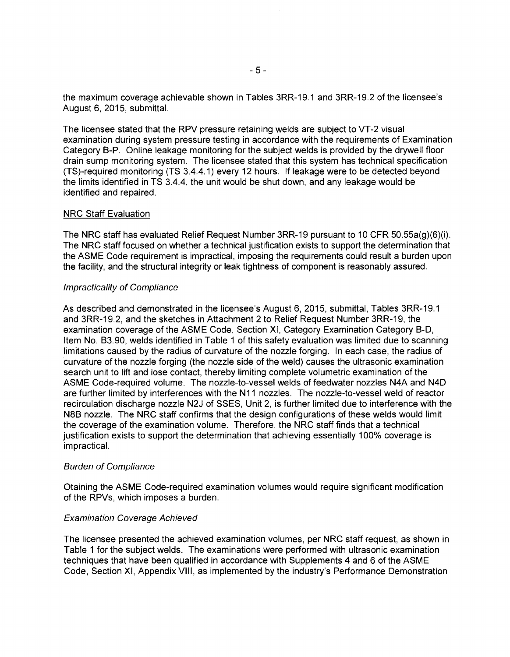the maximum coverage achievable shown in Tables 3RR-19.1and3RR-19.2 of the licensee's August 6, 2015, submittal.

The licensee stated that the RPV pressure retaining welds are subject to VT-2 visual examination during system pressure testing in accordance with the requirements of Examination Category B-P. Online leakage monitoring for the subject welds is provided by the drywell floor drain sump monitoring system. The licensee stated that this system has technical specification (TS)-required monitoring (TS 3.4.4.1) every 12 hours. If leakage were to be detected beyond the limits identified in TS 3.4.4, the unit would be shut down, and any leakage would be identified and repaired.

#### NRC Staff Evaluation

The NRC staff has evaluated Relief Request Number 3RR-19 pursuant to 10 CFR 50.55a(g)(6)(i). The NRC staff focused on whether a technical justification exists to support the determination that the ASME Code requirement is impractical, imposing the requirements could result a burden upon the facility, and the structural integrity or leak tightness of component is reasonably assured.

#### Impracticality of Compliance

As described and demonstrated in the licensee's August 6, 2015, submittal, Tables 3RR-19.1 and 3RR-19.2, and the sketches in Attachment 2 to Relief Request Number 3RR-19, the examination coverage of the ASME Code, Section XI, Category Examination Category B-D, Item No. 83.90, welds identified in Table 1 of this safety evaluation was limited due to scanning limitations caused by the radius of curvature of the nozzle forging. In each case, the radius of curvature of the nozzle forging (the nozzle side of the weld) causes the ultrasonic examination search unit to lift and lose contact, thereby limiting complete volumetric examination of the ASME Code-required volume. The nozzle-to-vessel welds of feedwater nozzles N4A and N4D are further limited by interferences with the N11 nozzles. The nozzle-to-vessel weld of reactor recirculation discharge nozzle N2J of SSES, Unit 2, is further limited due to interference with the N8B nozzle. The NRC staff confirms that the design configurations of these welds would limit the coverage of the examination volume. Therefore, the NRC staff finds that a technical justification exists to support the determination that achieving essentially 100% coverage is impractical.

## Burden of Compliance

Otaining the ASME Code-required examination volumes would require significant modification of the RPVs, which imposes a burden.

## Examination Coverage Achieved

The licensee presented the achieved examination volumes, per NRC staff request, as shown in Table 1 for the subject welds. The examinations were performed with ultrasonic examination techniques that have been qualified in accordance with Supplements 4 and 6 of the ASME Code, Section XI, Appendix VIII, as implemented by the industry's Performance Demonstration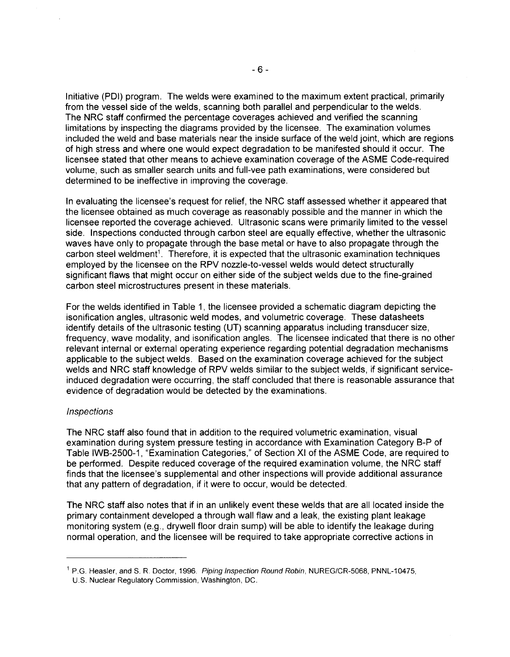Initiative (POI) program. The welds were examined to the maximum extent practical, primarily from the vessel side of the welds, scanning both parallel and perpendicular to the welds. The NRC staff confirmed the percentage coverages achieved and verified the scanning limitations by inspecting the diagrams provided by the licensee. The examination volumes included the weld and base materials near the inside surface of the weld joint, which are regions of high stress and where one would expect degradation to be manifested should it occur. The licensee stated that other means to achieve examination coverage of the ASME Code-required volume, such as smaller search units and full-vee path examinations, were considered but determined to be ineffective in improving the coverage.

In evaluating the licensee's request for relief, the NRC staff assessed whether it appeared that the licensee obtained as much coverage as reasonably possible and the manner in which the licensee reported the coverage achieved. Ultrasonic scans were primarily limited to the vessel side. Inspections conducted through carbon steel are equally effective, whether the ultrasonic waves have only to propagate through the base metal or have to also propagate through the carbon steel weldment<sup>1</sup>. Therefore, it is expected that the ultrasonic examination techniques employed by the licensee on the RPV nozzle-to-vessel welds would detect structurally significant flaws that might occur on either side of the subject welds due to the fine-grained carbon steel microstructures present in these materials.

For the welds identified in Table 1, the licensee provided a schematic diagram depicting the isonification angles, ultrasonic weld modes, and volumetric coverage. These datasheets identify details of the ultrasonic testing (UT) scanning apparatus including transducer size, frequency, wave modality, and isonification angles. The licensee indicated that there is no other relevant internal or external operating experience regarding potential degradation mechanisms applicable to the subject welds. Based on the examination coverage achieved for the subject welds and NRC staff knowledge of RPV welds similar to the subject welds, if significant serviceinduced degradation were occurring, the staff concluded that there is reasonable assurance that evidence of degradation would be detected by the examinations.

## **Inspections**

The NRC staff also found that in addition to the required volumetric examination, visual examination during system pressure testing in accordance with Examination Category 8-P of Table IWB-2500-1, "Examination Categories,'' of Section XI of the ASME Code, are required to be performed. Despite reduced coverage of the required examination volume, the NRC staff finds that the licensee's supplemental and other inspections will provide additional assurance that any pattern of degradation, if it were to occur, would be detected.

The NRC staff also notes that if in an unlikely event these welds that are all located inside the primary containment developed a through wall flaw and a leak, the existing plant leakage monitoring system (e.g., drywell floor drain sump) will be able to identify the leakage during normal operation, and the licensee will be required to take appropriate corrective actions in

<sup>&</sup>lt;sup>1</sup> P.G. Heasler, and S. R. Doctor, 1996. *Piping Inspection Round Robin*, NUREG/CR-5068, PNNL-10475,

U.S. Nuclear Regulatory Commission, Washington, DC.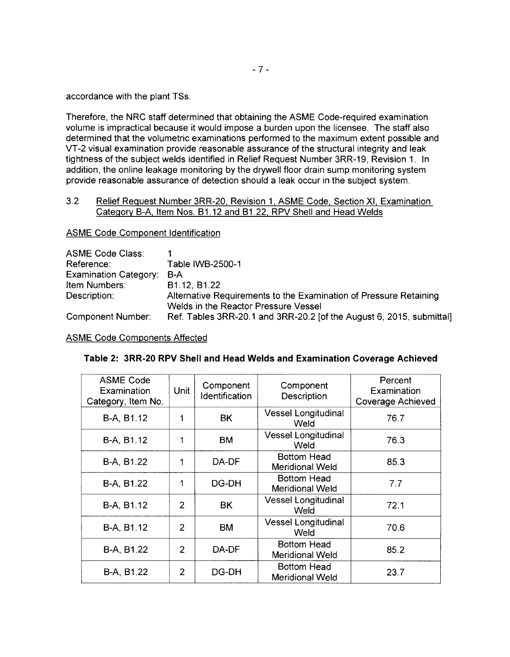accordance with the plant TSs.

Therefore, the NRC staff determined that obtaining the ASME Code-required examination volume is impractical because it would impose a burden upon the licensee. The staff also determined that the volumetric examinations performed to the maximum extent possible and VT-2 visual examination provide reasonable assurance of the structural integrity and leak tightness of the subject welds identified in Relief Request Number 3RR-19, Revision 1. In addition, the online leakage monitoring by the drywell floor drain sump monitoring system provide reasonable assurance of detection should a leak occur in the subject system.

## 3.2 Relief Request Number 3RR-20, Revision 1, ASME Code, Section XI, Examination Category B-A, Item Nos. B1 .12 and B1 .22, RPV Shell and Head Welds

ASME Code Component Identification

| <b>ASME Code Class:</b><br>Reference: | Table IWB-2500-1                                                                                          |
|---------------------------------------|-----------------------------------------------------------------------------------------------------------|
| <b>Examination Category:</b>          | B-A                                                                                                       |
| Item Numbers:                         | B1.12, B1.22                                                                                              |
| Description:                          | Alternative Requirements to the Examination of Pressure Retaining<br>Welds in the Reactor Pressure Vessel |
| <b>Component Number:</b>              | Ref. Tables 3RR-20.1 and 3RR-20.2 [of the August 6, 2015, submittal]                                      |

ASME Code Components Affected

|  |  |  |  |  | Table 2: 3RR-20 RPV Shell and Head Welds and Examination Coverage Achieved |
|--|--|--|--|--|----------------------------------------------------------------------------|
|--|--|--|--|--|----------------------------------------------------------------------------|

| <b>ASME Code</b><br>Examination<br>Category, Item No. | Unit           | Component<br>Identification | Component<br>Description                     | Percent<br>Examination<br><b>Coverage Achieved</b> |
|-------------------------------------------------------|----------------|-----------------------------|----------------------------------------------|----------------------------------------------------|
| B-A, B1.12                                            | 1              | BK                          | <b>Vessel Longitudinal</b><br>Weld           | 76.7                                               |
| B-A, B1.12                                            | 1              | <b>BM</b>                   | <b>Vessel Longitudinal</b><br>Weld           | 76.3                                               |
| B-A, B1.22                                            | 1              | DA-DF                       | <b>Bottom Head</b><br><b>Meridional Weld</b> | 85.3                                               |
| B-A, B1.22                                            | 1              | DG-DH                       | <b>Bottom Head</b><br><b>Meridional Weld</b> | 7.7                                                |
| B-A, B1.12                                            | $\overline{2}$ | <b>BK</b>                   | <b>Vessel Longitudinal</b><br>Weld           | 72.1                                               |
| B-A, B1.12                                            | $\overline{2}$ | <b>BM</b>                   | Vessel Longitudinal<br>Weld                  | 70.6                                               |
| B-A, B1.22                                            | $\overline{2}$ | DA-DF                       | Bottom Head<br><b>Meridional Weld</b>        | 85.2                                               |
| B-A, B1.22                                            | $\overline{2}$ | DG-DH                       | <b>Bottom Head</b><br><b>Meridional Weld</b> | 23.7                                               |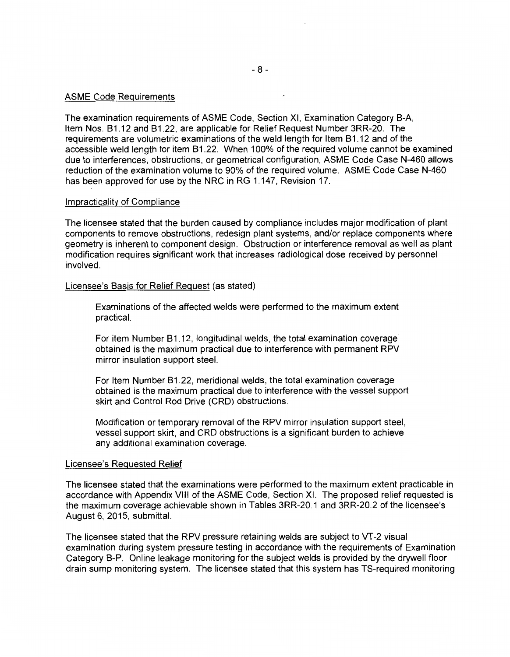#### ASME Code Requirements

The examination requirements of ASME Code, Section XI, Examination Category B-A, Item Nos. B1.12 and B1.22, are applicable for Relief Request Number 3RR-20. The requirements are volumetric examinations of the weld length for Item 81 .12 and of the accessible weld length for item B1.22. When 100% of the required volume cannot be examined due to interferences, obstructions, or geometrical configuration, ASME Code Case N-460 allows reduction of the examination volume to 90% of the required volume. ASME Code Case N-460 has been approved for use by the NRC in RG 1.147, Revision 17.

#### Impracticality of Compliance

The licensee stated that the burden caused by compliance includes major modification of plant components to remove obstructions, redesign plant systems, and/or replace components where geometry is inherent to component design. Obstruction or interference removal as well as plant modification requires significant work that increases radiological dose received by personnel involved.

#### Licensee's Basis for Relief Request (as stated)

Examinations of the affected welds were performed to the maximum extent practical.

For item Number B1.12, longitudinal welds, the total examination coverage obtained is the maximum practical due to interference with permanent RPV mirror insulation support steel.

For Item Number 81 .22, meridional welds, the total examination coverage obtained is the maximum practical due to interference with the vessel support skirt and Control Rod Drive (CRD) obstructions.

Modification or temporary removal of the RPV mirror insulation support steel, vessel support skirt, and CRD obstructions is a significant burden to achieve any additional examination coverage.

#### Licensee's Requested Relief

The licensee stated that the examinations were performed to the maximum extent practicable in accordance with Appendix VIII of the ASME Code, Section XI. The proposed relief requested is the maximum coverage achievable shown in Tables 3RR-20.1 and 3RR-20.2 of the licensee's August 6, 2015, submittal.

The licensee stated that the RPV pressure retaining welds are subject to VT-2 visual examination during system pressure testing in accordance with the requirements of Examination Category B-P. Online leakage monitoring for the subject welds is provided by the drywell floor drain sump monitoring system. The licensee stated that this system has TS-required monitoring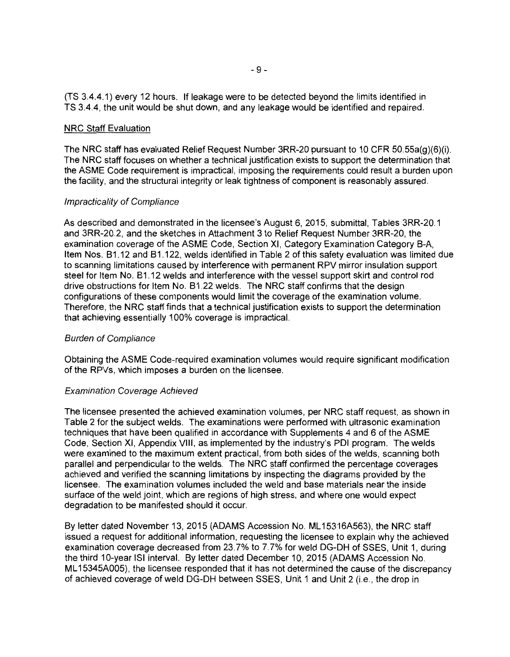(TS 3.4.4.1) every 12 hours. If leakage were to be detected beyond the limits identified in TS 3.4.4, the unit would be shut down, and any leakage would be identified and repaired.

#### NRC Staff Evaluation

The NRC staff has evaluated Relief Request Number 3RR-20 pursuant to 10 CFR 50.55a(g)(6)(i). The NRC staff focuses on whether a technical justification exists to support the determination that the ASME Code requirement is impractical, imposing the requirements could result a burden upon the facility, and the structural integrity or leak tightness of component is reasonably assured.

#### Impracticality of Compliance

As described and demonstrated in the licensee's August 6, 2015, submittal, Tables 3RR-20.1 and 3RR-20.2, and the sketches in Attachment 3 to Relief Request Number 3RR-20, the examination coverage of the ASME Code, Section XI, Category Examination Category B-A, Item Nos. B1.12 and B1.122, welds identified in Table 2 of this safety evaluation was limited due to scanning limitations caused by interference with permanent RPV mirror insulation support steel for Item No. B1.12 welds and interference with the vessel support skirt and control rod drive obstructions for Item No. B1 .22 welds. The NRC staff confirms that the design configurations of these components would limit the coverage of the examination volume. Therefore, the NRC staff finds that a technical justification exists to support the determination that achieving essentially 100% coverage is impractical.

#### Burden of Compliance

Obtaining the ASME Code-required examination volumes would require significant modification of the RPVs, which imposes a burden on the licensee.

#### Examination Coverage Achieved

The licensee presented the achieved examination volumes, per NRC staff request, as shown in Table 2 for the subject welds. The examinations were performed with ultrasonic examination techniques that have been qualified in accordance with Supplements 4 and 6 of the ASME Code, Section XI, Appendix VIII, as implemented by the industry's POI program. The welds were examined to the maximum extent practical, from both sides of the welds, scanning both parallel and perpendicular to the welds. The NRC staff confirmed the percentage coverages achieved and verified the scanning limitations by inspecting the diagrams provided by the licensee. The examination volumes included the weld and base materials near the inside surface of the weld joint, which are regions of high stress, and where one would expect degradation to be manifested should it occur.

By letter dated November 13, 2015 (ADAMS Accession No. ML 15316A563), the NRC staff issued a request for additional information, requesting the licensee to explain why the achieved examination coverage decreased from 23.7% to 7.7% for weld DG-DH of SSES, Unit 1, during the third 10-year ISi interval. By letter dated December 10, 2015 (ADAMS Accession No. ML 15345A005), the licensee responded that it has not determined the cause of the discrepancy of achieved coverage of weld DG-DH between SSES, Unit 1 and Unit 2 (i.e., the drop in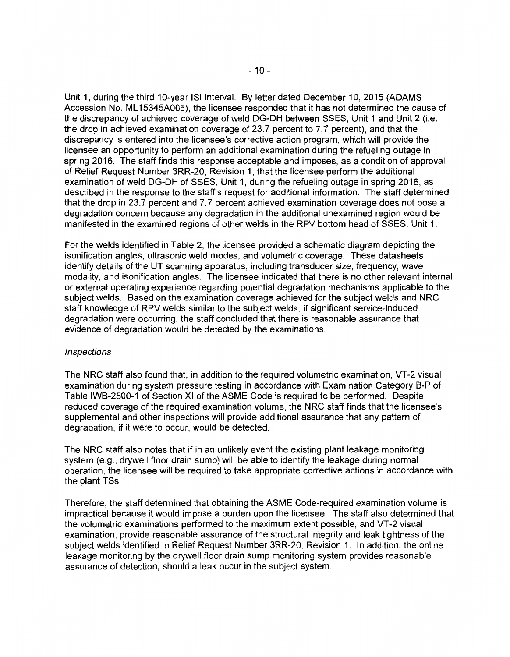Unit 1, during the third 10-year ISi interval. By letter dated December 10, 2015 (ADAMS Accession No. ML 15345A005), the licensee responded that it has not determined the cause of the discrepancy of achieved coverage of weld DG-DH between SSES, Unit 1 and Unit 2 (i.e., the drop in achieved examination coverage of 23.7 percent to 7.7 percent), and that the discrepancy is entered into the licensee's corrective action program, which will provide the licensee an opportunity to perform an additional examination during the refueling outage in spring 2016. The staff finds this response acceptable and imposes, as a condition of approval of Relief Request Number 3RR-20, Revision 1, that the licensee perform the additional examination of weld DG-DH of SSES, Unit 1, during the refueling outage in spring 2016, as described in the response to the staff's request for additional information. The staff determined that the drop in 23.7 percent and 7.7 percent achieved examination coverage does not pose a degradation concern because any degradation in the additional unexamined region would be manifested in the examined regions of other welds in the RPV bottom head of SSES, Unit 1.

For the welds identified in Table 2, the licensee provided a schematic diagram depicting the isonification angles, ultrasonic weld modes, and volumetric coverage. These datasheets identify details of the UT scanning apparatus, including transducer size, frequency, wave modality, and isonification angles. The licensee indicated that there is no other relevant internal or external operating experience regarding potential degradation mechanisms applicable to the subject welds. Based on the examination coverage achieved for the subject welds and NRC staff knowledge of RPV welds similar to the subject welds, if significant service-induced degradation were occurring, the staff concluded that there is reasonable assurance that evidence of degradation would be detected by the examinations.

#### **Inspections**

The NRC staff also found that, in addition to the required volumetric examination, VT-2 visual examination during system pressure testing in accordance with Examination Category B-P of Table IWB-2500-1 of Section XI of the ASME Code is required to be performed. Despite reduced coverage of the required examination volume, the NRC staff finds that the licensee's supplemental and other inspections will provide additional assurance that any pattern of degradation, if it were to occur, would be detected.

The NRC staff also notes that if in an unlikely event the existing plant leakage monitoring system (e.g., drywell floor drain sump) will be able to identify the leakage during normal operation, the licensee will be required to take appropriate corrective actions in accordance with the plant TSs.

Therefore, the staff determined that obtaining the ASME Code-required examination volume is impractical because it would impose a burden upon the licensee. The staff also determined that the volumetric examinations performed to the maximum extent possible, and VT-2 visual examination, provide reasonable assurance of the structural integrity and leak tightness of the subject welds identified in Relief Request Number 3RR-20, Revision 1. In addition, the online leakage monitoring by the drywell floor drain sump monitoring system provides reasonable assurance of detection, should a leak occur in the subject system.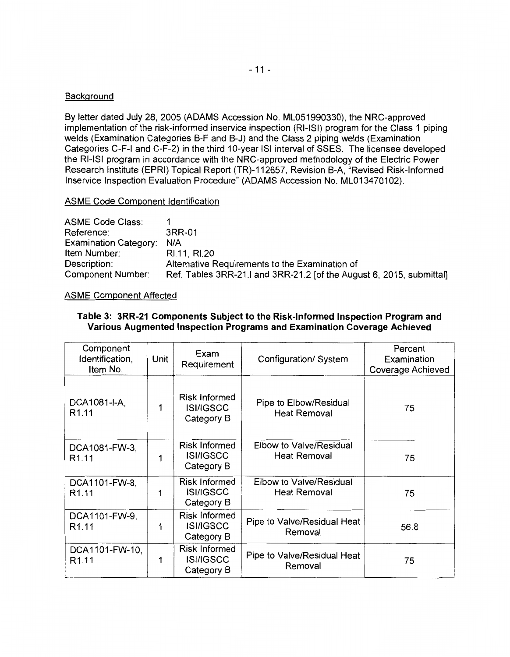## Background

By letter dated July 28, 2005 (ADAMS Accession No. ML051990330), the NRG-approved implementation of the risk-informed inservice inspection (RI-ISi) program for the Class 1 piping welds (Examination Categories B-F and B-J) and the Class 2 piping welds (Examination Categories C-F-1 and C-F-2) in the third 10-year ISi interval of SSES. The licensee developed the RI-ISi program in accordance with the NRG-approved methodology of the Electric Power Research Institute (EPRI) Topical Report (TR)-112657, Revision B-A, "Revised Risk-Informed lnservice Inspection Evaluation Procedure" (ADAMS Accession No. ML013470102).

ASME Code Component Identification

ASME Code Class: Reference: Examination Category: NIA Item Number: Description: 1 3RR-01 Rl.11, Rl.20 Alternative Requirements to the Examination of Component Number: Ref. Tables 3RR-21.I and 3RR-21.2 [of the August 6, 2015, submittal]

## ASME Component Affected

## **Table 3: 3RR-21 Components Subject to the Risk-Informed Inspection Program and Various Augmented Inspection Programs and Examination Coverage Achieved**

| Component<br>Identification,<br>Item No. | Unit | Exam<br>Requirement                                    | Configuration/ System                          | Percent<br>Examination<br>Coverage Achieved |
|------------------------------------------|------|--------------------------------------------------------|------------------------------------------------|---------------------------------------------|
| DCA1081-I-A,<br>R <sub>1.11</sub>        | 1    | <b>Risk Informed</b><br><b>ISI/IGSCC</b><br>Category B | Pipe to Elbow/Residual<br><b>Heat Removal</b>  | 75                                          |
| DCA1081-FW-3,<br>R <sub>1.11</sub>       | 1    | <b>Risk Informed</b><br><b>ISI/IGSCC</b><br>Category B | Elbow to Valve/Residual<br><b>Heat Removal</b> | 75                                          |
| DCA1101-FW-8,<br>R <sub>1.11</sub>       | 1    | Risk Informed<br><b>ISI/IGSCC</b><br>Category B        | Elbow to Valve/Residual<br><b>Heat Removal</b> | 75                                          |
| DCA1101-FW-9,<br>R <sub>1.11</sub>       | 1    | <b>Risk Informed</b><br><b>ISI/IGSCC</b><br>Category B | Pipe to Valve/Residual Heat<br>Removal         | 56.8                                        |
| DCA1101-FW-10,<br>R <sub>1.11</sub>      | 1    | <b>Risk Informed</b><br><b>ISI/IGSCC</b><br>Category B | Pipe to Valve/Residual Heat<br>Removal         | 75                                          |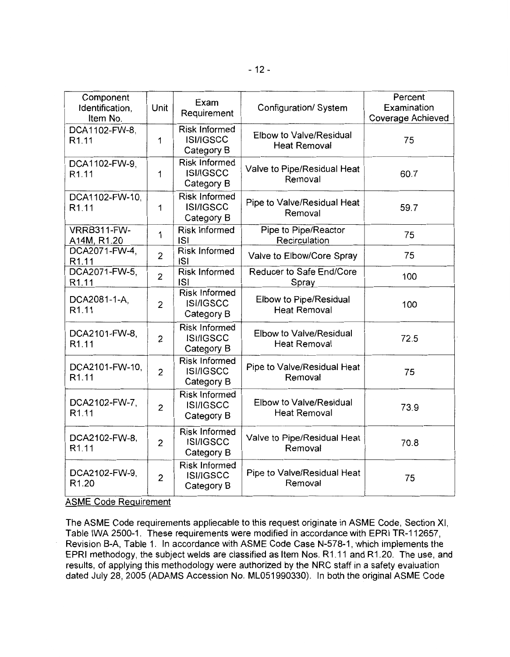| Component<br>Identification,<br>Item No. | Unit           | Exam<br>Requirement                                    | Configuration/ System                          | Percent<br>Examination<br>Coverage Achieved |
|------------------------------------------|----------------|--------------------------------------------------------|------------------------------------------------|---------------------------------------------|
| DCA1102-FW-8,<br>R <sub>1.11</sub>       | $\mathbf{1}$   | <b>Risk Informed</b><br><b>ISI/IGSCC</b><br>Category B | Elbow to Valve/Residual<br><b>Heat Removal</b> | 75                                          |
| DCA1102-FW-9,<br>R <sub>1.11</sub>       | $\mathbf{1}$   | <b>Risk Informed</b><br><b>ISI/IGSCC</b><br>Category B | Valve to Pipe/Residual Heat<br>Removal         | 60.7                                        |
| DCA1102-FW-10,<br>R <sub>1.11</sub>      | 1              | <b>Risk Informed</b><br><b>ISI/IGSCC</b><br>Category B | Pipe to Valve/Residual Heat<br>Removal         | 59.7                                        |
| VRRB311-FW-<br>A14M, R1.20               | $\mathbf{1}$   | <b>Risk Informed</b><br><b>ISI</b>                     | Pipe to Pipe/Reactor<br>Recirculation          | 75                                          |
| DCA2071-FW-4,<br>R <sub>1.11</sub>       | $\overline{2}$ | <b>Risk Informed</b><br><b>ISI</b>                     | Valve to Elbow/Core Spray                      | 75                                          |
| DCA2071-FW-5,<br>R1.11                   | $\overline{2}$ | <b>Risk Informed</b><br><b>ISI</b>                     | Reducer to Safe End/Core<br>Spray              | 100                                         |
| DCA2081-1-A,<br>R <sub>1.11</sub>        | $\overline{2}$ | <b>Risk Informed</b><br><b>ISI/IGSCC</b><br>Category B | Elbow to Pipe/Residual<br><b>Heat Removal</b>  | 100                                         |
| DCA2101-FW-8,<br>R <sub>1.11</sub>       | $\overline{2}$ | <b>Risk Informed</b><br><b>ISI/IGSCC</b><br>Category B | Elbow to Valve/Residual<br><b>Heat Removal</b> | 72.5                                        |
| DCA2101-FW-10,<br>R <sub>1.11</sub>      | $\overline{2}$ | <b>Risk Informed</b><br><b>ISI/IGSCC</b><br>Category B | Pipe to Valve/Residual Heat<br>Removal         | 75                                          |
| DCA2102-FW-7,<br>R <sub>1.11</sub>       | $\overline{2}$ | <b>Risk Informed</b><br><b>ISI/IGSCC</b><br>Category B | Elbow to Valve/Residual<br><b>Heat Removal</b> | 73.9                                        |
| DCA2102-FW-8,<br>R <sub>1.11</sub>       | $\overline{2}$ | <b>Risk Informed</b><br><b>ISI/IGSCC</b><br>Category B | Valve to Pipe/Residual Heat<br>Removal         | 70.8                                        |
| DCA2102-FW-9,<br>R <sub>1.20</sub>       | $\overline{2}$ | <b>Risk Informed</b><br><b>ISI/IGSCC</b><br>Category B | Pipe to Valve/Residual Heat<br>Removal         | 75                                          |

ASME Code Requirement

The ASME Code requirements appliecable to this request originate in ASME Code, Section XI, Table IWA 2500-1. These requirements were modified in accordance with EPRI TR-112657, Revision B-A, Table 1. In accordance with ASME Code Case N-578-1, which implements the EPRI methodogy, the subject welds are classified as Item Nos. R1 .11 and R1 .20. The use, and results, of applying this methodology were authorized by the NRC staff in a safety evaluation dated July 28, 2005 (ADAMS Accession No. ML051990330). In both the original ASME Code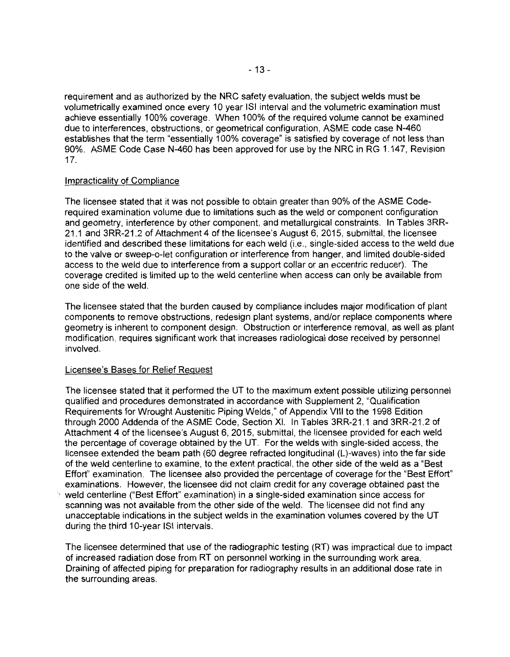requirement and as authorized by the NRC safety evaluation, the subject welds must be volumetrically examined once every 10 year ISi interval and the volumetric examination must achieve essentially 100% coverage. When 100% of the required volume cannot be examined due to interferences, obstructions, or geometrical configuration, ASME code case N-460 establishes that the term "essentially 100% coverage" is satisfied by coverage of not less than 90%. ASME Code Case N-460 has been approved for use by the NRC in RG 1.147, Revision 17.

#### Impracticality of Compliance

The licensee stated that it was not possible to obtain greater than 90% of the ASME Coderequired examination volume due to limitations such as the weld or component configuration and geometry, interference by other component, and metallurgical constraints. In Tables 3RR-21.1 and 3RR-21.2 of Attachment 4 of the licensee's August 6, 2015, submittal, the licensee identified and described these limitations for each weld (i.e., single-sided access to the weld due to the valve or sweep-o-let configuration or interference from hanger, and limited double-sided access to the weld due to interference from a support collar or an eccentric reducer). The coverage credited is limited up to the weld centerline when access can only be available from one side of the weld.

The licensee stated that the burden caused by compliance includes major modification of plant components to remove obstructions, redesign plant systems, and/or replace components where geometry is inherent to component design. Obstruction or interference removal, as well as plant modification, requires significant work that increases radiological dose received by personnel involved.

## Licensee's Bases for Relief Request

The licensee stated that it performed the UT to the maximum extent possible utilizing personnel qualified and procedures demonstrated in accordance with Supplement 2, "Qualification Requirements for Wrought Austenitic Piping Welds," of Appendix VIII to the 1998 Edition through 2000 Addenda of the ASME Code, Section XI. In Tables 3RR-21.1 and 3RR-21.2 of Attachment 4 of the licensee's August 6, 2015, submittal, the licensee provided for each weld the percentage of coverage obtained by the UT. For the welds with single-sided access, the licensee extended the beam path (60 degree refracted longitudinal (L)-waves) into the far side of the weld centerline to examine, to the extent practical, the other side of the weld as a "Best Effort" examination. The licensee also provided the percentage of coverage for the "Best Effort" examinations. However, the licensee did not claim credit for any coverage obtained past the weld centerline ("Best Effort" examination) in a single-sided examination since access for scanning was not available from the other side of the weld. The licensee did not find any unacceptable indications in the subject welds in the examination volumes covered by the UT during the third 10-year ISi intervals.

The licensee determined that use of the radiographic testing (RT) was impractical due to impact of increased radiation dose from RT on personnel working in the surrounding work area. Draining of affected piping for preparation for radiography results in an additional dose rate in the surrounding areas.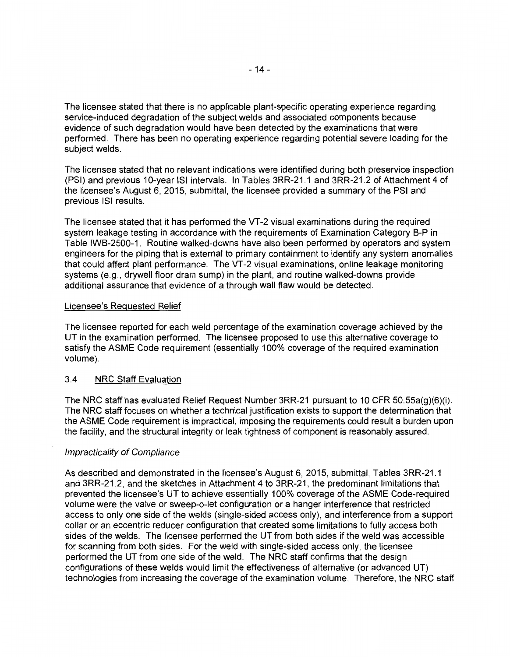The licensee stated that there is no applicable plant-specific operating experience regarding service-induced degradation of the subject welds and associated components because evidence of such degradation would have been detected by the examinations that were performed. There has been no operating experience regarding potential severe loading for the subject welds.

The licensee stated that no relevant indications were identified during both preservice inspection (PSI) and previous 10-year ISi intervals. In Tables 3RR-21.1 and 3RR-21.2 of Attachment 4 of the licensee's August 6, 2015, submittal, the licensee provided a summary of the PSI and previous ISi results.

The licensee stated that it has performed the VT-2 visual examinations during the required system leakage testing in accordance with the requirements of Examination Category B-P in Table IWB-2500-1. Routine walked-downs have also been performed by operators and system engineers for the piping that is external to primary containment to identify any system anomalies that could affect plant performance. The VT-2 visual examinations, online leakage monitoring systems (e.g., drywell floor drain sump) in the plant, and routine walked-downs provide additional assurance that evidence of a through wall flaw would be detected.

## Licensee's Requested Relief

The licensee reported for each weld percentage of the examination coverage achieved by the UT in the examination performed. The licensee proposed to use this alternative coverage to satisfy the ASME Code requirement (essentially 100% coverage of the required examination volume).

## 3.4 NRC Staff Evaluation

The NRC staff has evaluated Relief Request Number 3RR-21 pursuant to 10 CFR 50.55a(g)(6)(i). The NRC staff focuses on whether a technical justification exists to support the determination that the ASME Code requirement is impractical, imposing the requirements could result a burden upon the facility, and the structural integrity or leak tightness of component is reasonably assured.

## Impracticality of Compliance

As described and demonstrated in the licensee's August 6, 2015, submittal, Tables 3RR-21.1 and 3RR-21.2, and the sketches in Attachment 4 to 3RR-21, the predominant limitations that prevented the licensee's UT to achieve essentially 100% coverage of the ASME Code-required volume were the valve or sweep-o-let configuration or a hanger interference that restricted access to only one side of the welds (single-sided access only), and interference from a support collar or an eccentric reducer configuration that created some limitations to fully access both sides of the welds. The licensee performed the UT from both sides if the weld was accessible for scanning from both sides. For the weld with single-sided access only, the licensee performed the UT from one side of the weld. The NRC staff confirms that the design configurations of these welds would limit the effectiveness of alternative (or advanced UT) technologies from increasing the coverage of the examination volume. Therefore, the NRC staff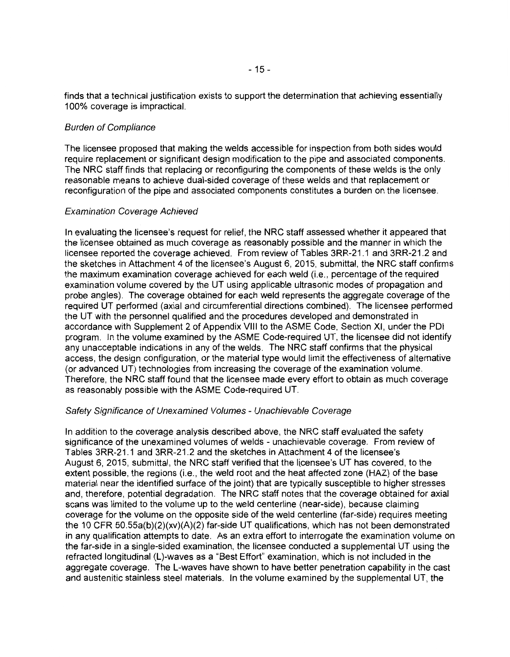finds that a technical justification exists to support the determination that achieving essentially 100% coverage is impractical.

#### Burden of Compliance

The licensee proposed that making the welds accessible for inspection from both sides would require replacement or significant design modification to the pipe and associated components. The NRC staff finds that replacing or reconfiguring the components of these welds is the only reasonable means to achieve dual-sided coverage of these welds and that replacement or reconfiguration of the pipe and associated components constitutes a burden on the licensee.

#### Examination Coverage Achieved

In evaluating the licensee's request for relief, the NRC staff assessed whether it appeared that the licensee obtained as much coverage as reasonably possible and the manner in which the licensee reported the coverage achieved. From review of Tables 3RR-21.1 and 3RR-21.2 and the sketches in Attachment 4 of the licensee's August 6, 2015, submittal, the NRC staff confirms the maximum examination coverage achieved for each weld (i.e., percentage of the required examination volume covered by the UT using applicable ultrasonic modes of propagation and probe angles). The coverage obtained for each weld represents the aggregate coverage of the required UT performed (axial and circumferential directions combined). The licensee performed the UT with the personnel qualified and the procedures developed and demonstrated in accordance with Supplement 2 of Appendix VIII to the ASME Code, Section XI, under the POI program. In the volume examined by the ASME Code-required UT, the licensee did not identify any unacceptable indications in any of the welds. The NRC staff confirms that the physical access, the design configuration, or the material type would limit the effectiveness of alternative (or advanced UT) technologies from increasing the coverage of the examination volume. Therefore, the NRC staff found that the licensee made every effort to obtain as much coverage as reasonably possible with the ASME Code-required UT.

### Safety Significance of Unexamined Volumes - Unachievable Coverage

In addition to the coverage analysis described above, the NRC staff evaluated the safety significance of the unexamined volumes of welds - unachievable coverage. From review of Tables 3RR-21.1 and 3RR-21.2 and the sketches in Attachment 4 of the licensee's August 6, 2015, submittal, the NRC staff verified that the licensee's UT has covered, to the extent possible, the regions (i.e., the weld root and the heat affected zone (HAZ) of the base material near the identified surface of the joint) that are typically susceptible to higher stresses and, therefore, potential degradation. The NRC staff notes that the coverage obtained for axial scans was limited to the volume up to the weld centerline (near-side), because claiming coverage for the volume on the opposite side of the weld centerline (far-side) requires meeting the 10 CFR 50.55a(b)(2)(xv)(A)(2) far-side UT qualifications, which has not been demonstrated in any qualification attempts to date. As an extra effort to interrogate the examination volume on the far-side in a single-sided examination, the licensee conducted a supplemental UT using the refracted longitudinal (L)-waves as a "Best Effort" examination, which is not included in the aggregate coverage. The L-waves have shown to have better penetration capability in the cast and austenitic stainless steel materials. In the volume examined by the supplemental UT, the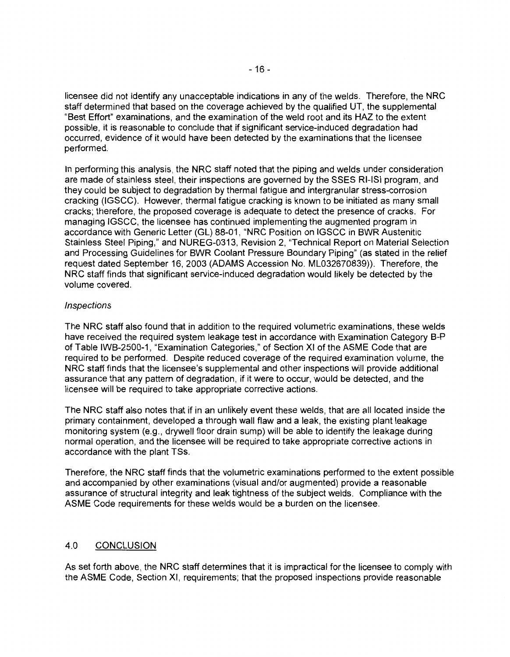licensee did not identify any unacceptable indications in any of the welds. Therefore, the NRC staff determined that based on the coverage achieved by the qualified UT, the supplemental "Best Effort" examinations, and the examination of the weld root and its HAZ to the extent possible, it is reasonable to conclude that if significant service-induced degradation had occurred, evidence of it would have been detected by the examinations that the licensee performed.

In performing this analysis, the NRC staff noted that the piping and welds under consideration are made of stainless steel, their inspections are governed by the SSES RI-ISi program, and they could be subject to degradation by thermal fatigue and intergranular stress-corrosion cracking (IGSCC). However, thermal fatigue cracking is known to be initiated as many small cracks; therefore, the proposed coverage is adequate to detect the presence of cracks. For managing IGSCC, the licensee has continued implementing the augmented program in accordance with Generic Letter (GL) 88-01, "NRC Position on IGSCC in BWR Austenitic Stainless Steel Piping," and NUREG-0313, Revision 2, "Technical Report on Material Selection and Processing Guidelines for BWR Coolant Pressure Boundary Piping" (as stated in the relief request dated September 16, 2003 (ADAMS Accession No. ML032670839)). Therefore, the NRC staff finds that significant service-induced degradation would likely be detected by the volume covered.

## **Inspections**

The NRC staff also found that in addition to the required volumetric examinations, these welds have received the required system leakage test in accordance with Examination Category B-P of Table IWB-2500-1, "Examination Categories," of Section XI of the ASME Code that are required to be performed. Despite reduced coverage of the required examination volume, the NRC staff finds that the licensee's supplemental and other inspections will provide additional assurance that any pattern of degradation, if it were to occur, would be detected, and the licensee will be required to take appropriate corrective actions.

The NRC staff also notes that if in an unlikely event these welds, that are all located inside the primary containment, developed a through wall flaw and a leak, the existing plant leakage monitoring system (e.g., drywell floor drain sump) will be able to identify the leakage during normal operation, and the licensee will be required to take appropriate corrective actions in accordance with the plant TSs.

Therefore, the NRC staff finds that the volumetric examinations performed to the extent possible and accompanied by other examinations (visual and/or augmented) provide a reasonable assurance of structural integrity and leak tightness of the subject welds. Compliance with the ASME Code requirements for these welds would be a burden on the licensee.

## 4.0 CONCLUSION

As set forth above, the NRC staff determines that it is impractical for the licensee to comply with the ASME Code, Section XI, requirements; that the proposed inspections provide reasonable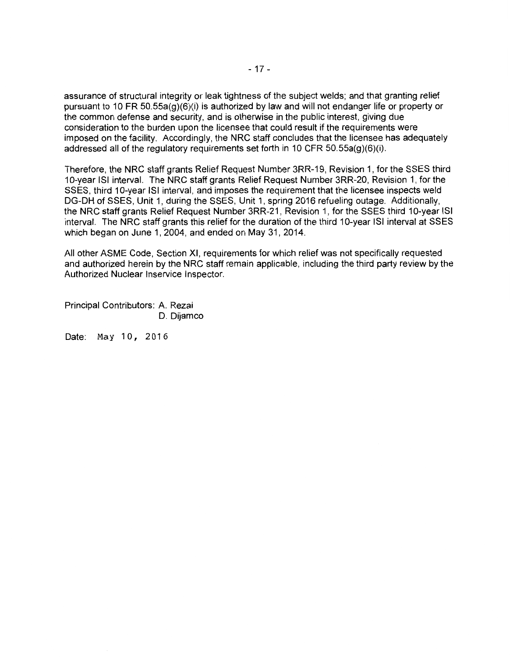assurance of structural integrity or leak tightness of the subject welds; and that granting relief pursuant to 10 FR 50.55a(g)(6)(i) is authorized by law and will not endanger life or property or the common defense and security, and is otherwise in the public interest, giving due consideration to the burden upon the licensee that could result if the requirements were imposed on the facility. Accordingly, the NRC staff concludes that the licensee has adequately addressed all of the regulatory requirements set forth in 10 CFR  $50.55a(g)(6)(i)$ .

Therefore, the NRC staff grants Relief Request Number 3RR-19, Revision 1, for the SSES third 10-year ISi interval. The NRC staff grants Relief Request Number 3RR-20, Revision 1, for the SSES, third 10-year ISi interval, and imposes the requirement that the licensee inspects weld DG-DH of SSES, Unit 1, during the SSES, Unit 1, spring 2016 refueling outage. Additionally, the NRC staff grants Relief Request Number 3RR-21, Revision 1, for the SSES third 10-year ISi interval. The NRC staff grants this relief for the duration of the third 10-year ISI interval at SSES which began on June 1, 2004, and ended on May 31, 2014.

All other ASME Code, Section XI, requirements for which relief was not specifically requested and authorized herein by the NRC staff remain applicable, including the third party review by the Authorized Nuclear lnservice Inspector.

Principal Contributors: A. Rezai D. Dijamco

Date: May 10, 2016